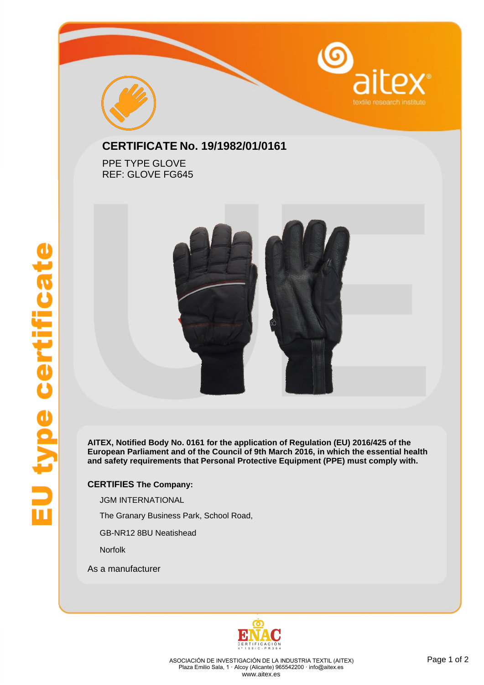



## **CERTIFICATE No. 19/1982/01/0161**

PPE TYPE GLOVE REF: GLOVE FG645



**AITEX, Notified Body No. 0161 for the application of Regulation (EU) 2016/425 of the European Parliament and of the Council of 9th March 2016, in which the essential health and safety requirements that Personal Protective Equipment (PPE) must comply with.**

## **CERTIFIES The Company:**

JGM INTERNATIONAL

The Granary Business Park, School Road,

GB-NR12 8BU Neatishead

Norfolk

As a manufacturer